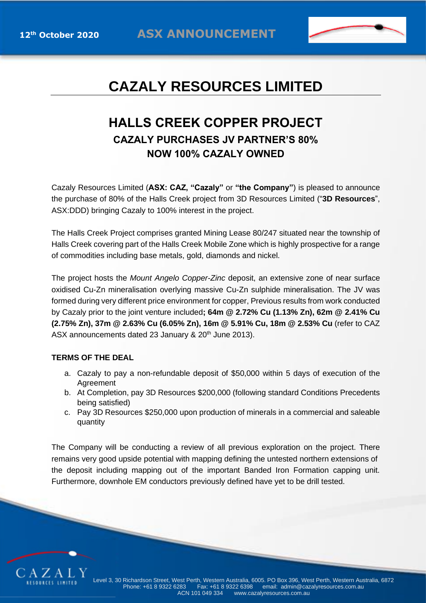

## **CAZALY RESOURCES LIMITED**

## **HALLS CREEK COPPER PROJECT CAZALY PURCHASES JV PARTNER'S 80% NOW 100% CAZALY OWNED**

Cazaly Resources Limited (**ASX: CAZ, "Cazaly"** or **"the Company"**) is pleased to announce the purchase of 80% of the Halls Creek project from 3D Resources Limited ("**3D Resources**", ASX:DDD) bringing Cazaly to 100% interest in the project.

The Halls Creek Project comprises granted Mining Lease 80/247 situated near the township of Halls Creek covering part of the Halls Creek Mobile Zone which is highly prospective for a range of commodities including base metals, gold, diamonds and nickel.

The project hosts the *Mount Angelo Copper-Zinc* deposit, an extensive zone of near surface oxidised Cu-Zn mineralisation overlying massive Cu-Zn sulphide mineralisation. The JV was formed during very different price environment for copper, Previous results from work conducted by Cazaly prior to the joint venture included**; 64m @ 2.72% Cu (1.13% Zn), 62m @ 2.41% Cu (2.75% Zn), 37m @ 2.63% Cu (6.05% Zn), 16m @ 5.91% Cu, 18m @ 2.53% Cu** (refer to CAZ ASX announcements dated 23 January & 20<sup>th</sup> June 2013).

## **TERMS OF THE DEAL**

- a. Cazaly to pay a non-refundable deposit of \$50,000 within 5 days of execution of the **Agreement**
- b. At Completion, pay 3D Resources \$200,000 (following standard Conditions Precedents being satisfied)
- c. Pay 3D Resources \$250,000 upon production of minerals in a commercial and saleable quantity

The Company will be conducting a review of all previous exploration on the project. There remains very good upside potential with mapping defining the untested northern extensions of the deposit including mapping out of the important Banded Iron Formation capping unit. Furthermore, downhole EM conductors previously defined have yet to be drill tested.